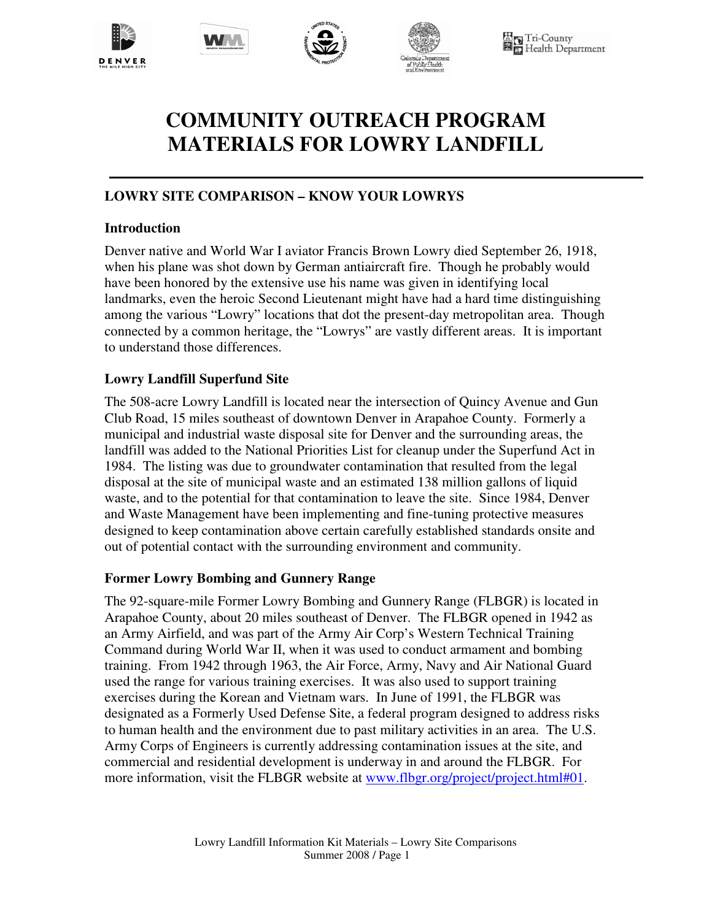







**N** Tri-County<br>In Health Department

# **COMMUNITY OUTREACH PROGRAM MATERIALS FOR LOWRY LANDFILL**

#### **LOWRY SITE COMPARISON – KNOW YOUR LOWRYS**

#### **Introduction**

Denver native and World War I aviator Francis Brown Lowry died September 26, 1918, when his plane was shot down by German antiaircraft fire. Though he probably would have been honored by the extensive use his name was given in identifying local landmarks, even the heroic Second Lieutenant might have had a hard time distinguishing among the various "Lowry" locations that dot the present-day metropolitan area. Though connected by a common heritage, the "Lowrys" are vastly different areas. It is important to understand those differences.

#### **Lowry Landfill Superfund Site**

The 508-acre Lowry Landfill is located near the intersection of Quincy Avenue and Gun Club Road, 15 miles southeast of downtown Denver in Arapahoe County. Formerly a municipal and industrial waste disposal site for Denver and the surrounding areas, the landfill was added to the National Priorities List for cleanup under the Superfund Act in 1984. The listing was due to groundwater contamination that resulted from the legal disposal at the site of municipal waste and an estimated 138 million gallons of liquid waste, and to the potential for that contamination to leave the site. Since 1984, Denver and Waste Management have been implementing and fine-tuning protective measures designed to keep contamination above certain carefully established standards onsite and out of potential contact with the surrounding environment and community.

#### **Former Lowry Bombing and Gunnery Range**

The 92-square-mile Former Lowry Bombing and Gunnery Range (FLBGR) is located in Arapahoe County, about 20 miles southeast of Denver. The FLBGR opened in 1942 as an Army Airfield, and was part of the Army Air Corp's Western Technical Training Command during World War II, when it was used to conduct armament and bombing training. From 1942 through 1963, the Air Force, Army, Navy and Air National Guard used the range for various training exercises. It was also used to support training exercises during the Korean and Vietnam wars. In June of 1991, the FLBGR was designated as a Formerly Used Defense Site, a federal program designed to address risks to human health and the environment due to past military activities in an area. The U.S. Army Corps of Engineers is currently addressing contamination issues at the site, and commercial and residential development is underway in and around the FLBGR. For more information, visit the FLBGR website at www.flbgr.org/project/project.html#01.